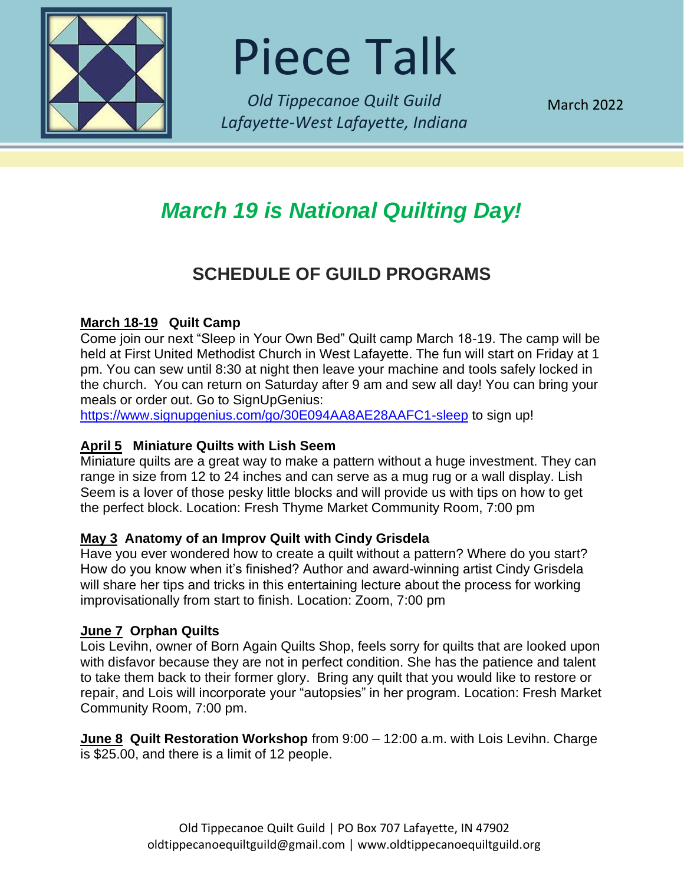

Piece Talk

*Old Tippecanoe Quilt Guild Lafayette-West Lafayette, Indiana*

March 2022

# *March 19 is National Quilting Day!*

### **SCHEDULE OF GUILD PROGRAMS**

### **March 18-19 Quilt Camp**

Come join our next "Sleep in Your Own Bed" Quilt camp March 18-19. The camp will be held at First United Methodist Church in West Lafayette. The fun will start on Friday at 1 pm. You can sew until 8:30 at night then leave your machine and tools safely locked in the church. You can return on Saturday after 9 am and sew all day! You can bring your meals or order out. Go to SignUpGenius:

<https://www.signupgenius.com/go/30E094AA8AE28AAFC1-sleep> to sign up!

### **April 5 Miniature Quilts with Lish Seem**

Miniature quilts are a great way to make a pattern without a huge investment. They can range in size from 12 to 24 inches and can serve as a mug rug or a wall display. Lish Seem is a lover of those pesky little blocks and will provide us with tips on how to get the perfect block. Location: Fresh Thyme Market Community Room, 7:00 pm

### **May 3 Anatomy of an Improv Quilt with Cindy Grisdela**

Have you ever wondered how to create a quilt without a pattern? Where do you start? How do you know when it's finished? Author and award-winning artist Cindy Grisdela will share her tips and tricks in this entertaining lecture about the process for working improvisationally from start to finish. Location: Zoom, 7:00 pm

### **June 7 Orphan Quilts**

Lois Levihn, owner of Born Again Quilts Shop, feels sorry for quilts that are looked upon with disfavor because they are not in perfect condition. She has the patience and talent to take them back to their former glory. Bring any quilt that you would like to restore or repair, and Lois will incorporate your "autopsies" in her program. Location: Fresh Market Community Room, 7:00 pm.

**June 8 Quilt Restoration Workshop** from 9:00 – 12:00 a.m. with Lois Levihn. Charge is \$25.00, and there is a limit of 12 people.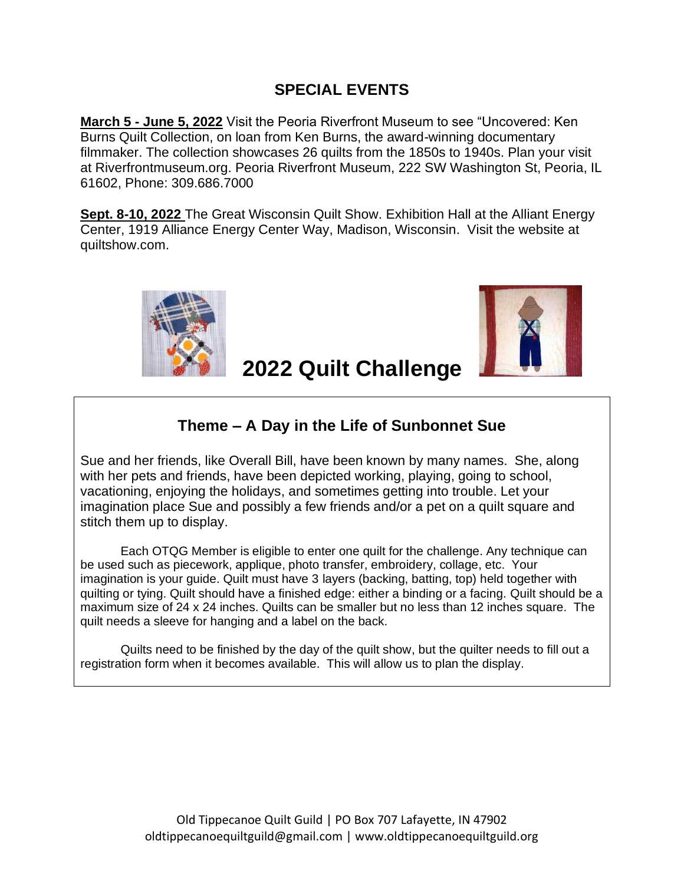### **SPECIAL EVENTS**

**March 5 - June 5, 2022** Visit the Peoria Riverfront Museum to see "Uncovered: Ken Burns Quilt Collection, on loan from Ken Burns, the award-winning documentary filmmaker. The collection showcases 26 quilts from the 1850s to 1940s. Plan your visit at Riverfrontmuseum.org. Peoria Riverfront Museum, 222 SW Washington St, Peoria, IL 61602, Phone: 309.686.7000

**Sept. 8-10, 2022** The Great Wisconsin Quilt Show. Exhibition Hall at the Alliant Energy Center, 1919 Alliance Energy Center Way, Madison, Wisconsin. Visit the website at quiltshow.com.





## **2022 Quilt Challenge**

### **Theme – A Day in the Life of Sunbonnet Sue**

Sue and her friends, like Overall Bill, have been known by many names. She, along with her pets and friends, have been depicted working, playing, going to school, vacationing, enjoying the holidays, and sometimes getting into trouble. Let your imagination place Sue and possibly a few friends and/or a pet on a quilt square and stitch them up to display.

Each OTQG Member is eligible to enter one quilt for the challenge. Any technique can be used such as piecework, applique, photo transfer, embroidery, collage, etc. Your imagination is your guide. Quilt must have 3 layers (backing, batting, top) held together with quilting or tying. Quilt should have a finished edge: either a binding or a facing. Quilt should be a maximum size of 24 x 24 inches. Quilts can be smaller but no less than 12 inches square. The quilt needs a sleeve for hanging and a label on the back.

Quilts need to be finished by the day of the quilt show, but the quilter needs to fill out a registration form when it becomes available. This will allow us to plan the display.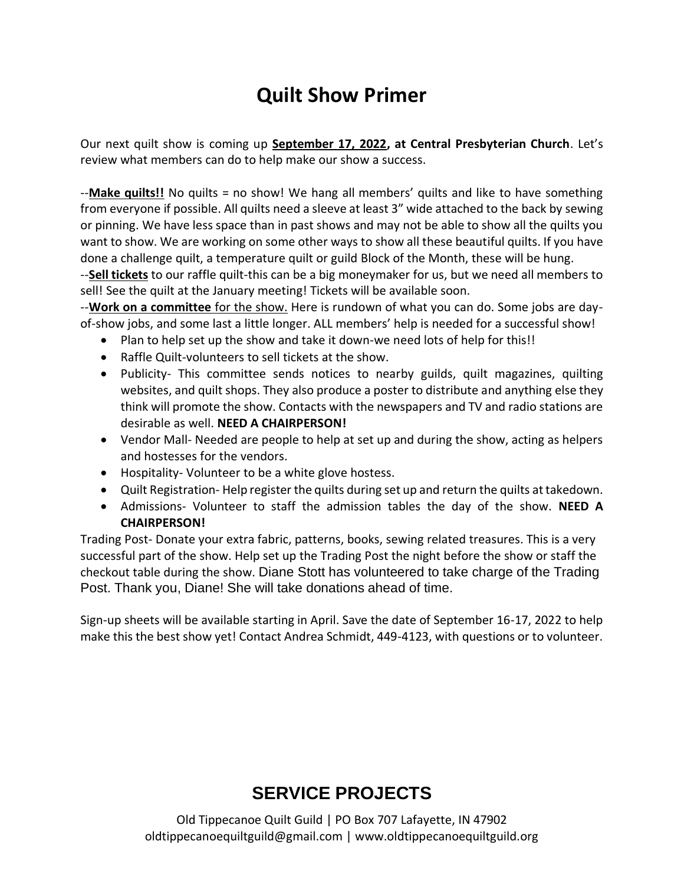## **Quilt Show Primer**

Our next quilt show is coming up **September 17, 2022, at Central Presbyterian Church**. Let's review what members can do to help make our show a success.

--**Make quilts!!** No quilts = no show! We hang all members' quilts and like to have something from everyone if possible. All quilts need a sleeve at least 3" wide attached to the back by sewing or pinning. We have less space than in past shows and may not be able to show all the quilts you want to show. We are working on some other ways to show all these beautiful quilts. If you have done a challenge quilt, a temperature quilt or guild Block of the Month, these will be hung.

--**Sell tickets** to our raffle quilt-this can be a big moneymaker for us, but we need all members to sell! See the quilt at the January meeting! Tickets will be available soon.

--**Work on a committee** for the show. Here is rundown of what you can do. Some jobs are dayof-show jobs, and some last a little longer. ALL members' help is needed for a successful show!

- Plan to help set up the show and take it down-we need lots of help for this!!
- Raffle Quilt-volunteers to sell tickets at the show.
- Publicity- This committee sends notices to nearby guilds, quilt magazines, quilting websites, and quilt shops. They also produce a poster to distribute and anything else they think will promote the show. Contacts with the newspapers and TV and radio stations are desirable as well. **NEED A CHAIRPERSON!**
- Vendor Mall- Needed are people to help at set up and during the show, acting as helpers and hostesses for the vendors.
- Hospitality- Volunteer to be a white glove hostess.
- Quilt Registration- Help register the quilts during set up and return the quilts at takedown.
- Admissions- Volunteer to staff the admission tables the day of the show. **NEED A CHAIRPERSON!**

Trading Post- Donate your extra fabric, patterns, books, sewing related treasures. This is a very successful part of the show. Help set up the Trading Post the night before the show or staff the checkout table during the show. Diane Stott has volunteered to take charge of the Trading Post. Thank you, Diane! She will take donations ahead of time.

Sign-up sheets will be available starting in April. Save the date of September 16-17, 2022 to help make this the best show yet! Contact Andrea Schmidt, 449-4123, with questions or to volunteer.

## **SERVICE PROJECTS**

Old Tippecanoe Quilt Guild | PO Box 707 Lafayette, IN 47902 oldtippecanoequiltguild@gmail.com | www.oldtippecanoequiltguild.org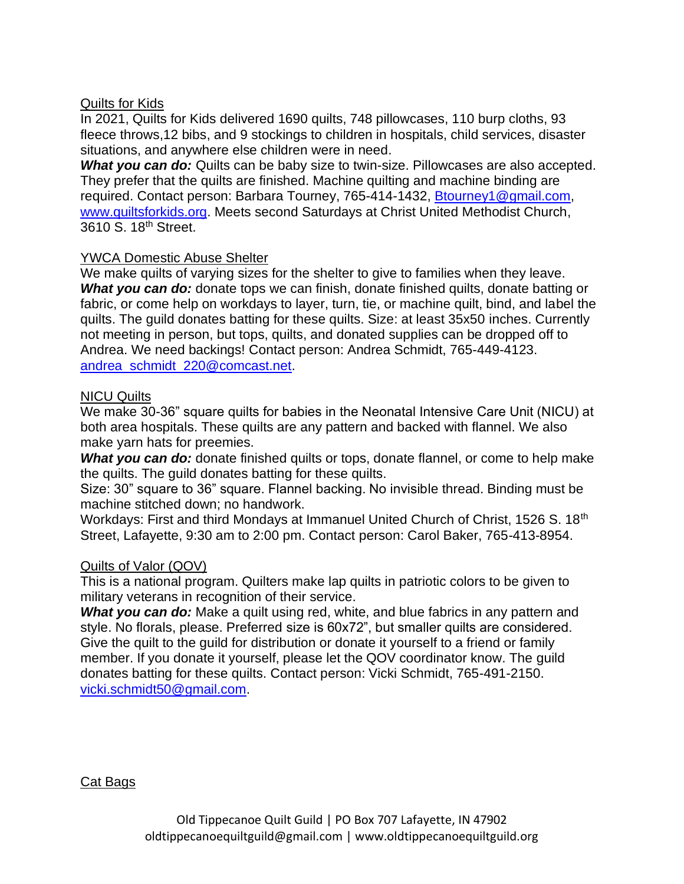### Quilts for Kids

In 2021, Quilts for Kids delivered 1690 quilts, 748 pillowcases, 110 burp cloths, 93 fleece throws,12 bibs, and 9 stockings to children in hospitals, child services, disaster situations, and anywhere else children were in need.

**What you can do:** Quilts can be baby size to twin-size. Pillowcases are also accepted. They prefer that the quilts are finished. Machine quilting and machine binding are required. Contact person: Barbara Tourney, 765-414-1432, [Btourney1@gmail.com,](mailto:Btourney1@gmail.com) [www.quiltsforkids.org.](http://www.quiltsforkids.org/) Meets second Saturdays at Christ United Methodist Church, 3610 S. 18th Street.

#### YWCA Domestic Abuse Shelter

We make quilts of varying sizes for the shelter to give to families when they leave. *What you can do:* donate tops we can finish, donate finished quilts, donate batting or fabric, or come help on workdays to layer, turn, tie, or machine quilt, bind, and label the quilts. The guild donates batting for these quilts. Size: at least 35x50 inches. Currently not meeting in person, but tops, quilts, and donated supplies can be dropped off to Andrea. We need backings! Contact person: Andrea Schmidt, 765-449-4123. [andrea\\_schmidt\\_220@comcast.net.](mailto:andrea_schmidt_220@comcast.net)

### NICU Quilts

We make 30-36" square quilts for babies in the Neonatal Intensive Care Unit (NICU) at both area hospitals. These quilts are any pattern and backed with flannel. We also make yarn hats for preemies.

*What you can do:* donate finished quilts or tops, donate flannel, or come to help make the quilts. The guild donates batting for these quilts.

Size: 30" square to 36" square. Flannel backing. No invisible thread. Binding must be machine stitched down; no handwork.

Workdays: First and third Mondays at Immanuel United Church of Christ, 1526 S. 18<sup>th</sup> Street, Lafayette, 9:30 am to 2:00 pm. Contact person: Carol Baker, 765-413-8954.

#### Quilts of Valor (QOV)

This is a national program. Quilters make lap quilts in patriotic colors to be given to military veterans in recognition of their service.

**What you can do:** Make a quilt using red, white, and blue fabrics in any pattern and style. No florals, please. Preferred size is 60x72", but smaller quilts are considered. Give the quilt to the guild for distribution or donate it yourself to a friend or family member. If you donate it yourself, please let the QOV coordinator know. The guild donates batting for these quilts. Contact person: Vicki Schmidt, 765-491-2150. [vicki.schmidt50@gmail.com.](mailto:vicki.schmidt50@gmail.com)

Cat Bags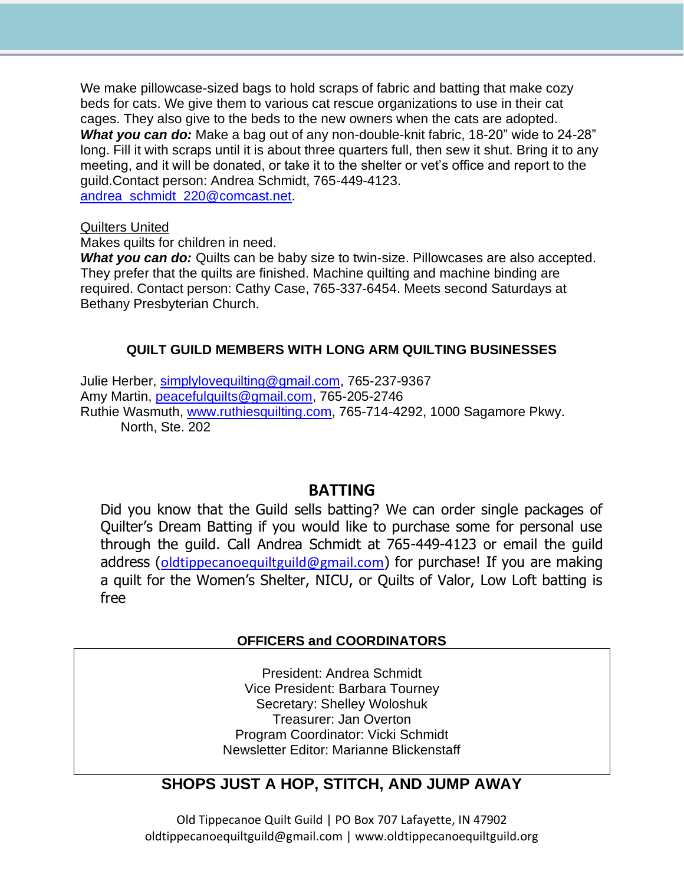We make pillowcase-sized bags to hold scraps of fabric and batting that make cozy beds for cats. We give them to various cat rescue organizations to use in their cat cages. They also give to the beds to the new owners when the cats are adopted. *What you can do:* Make a bag out of any non-double-knit fabric, 18-20" wide to 24-28" long. Fill it with scraps until it is about three quarters full, then sew it shut. Bring it to any meeting, and it will be donated, or take it to the shelter or vet's office and report to the guild.Contact person: Andrea Schmidt, 765-449-4123. [andrea\\_schmidt\\_220@comcast.net.](mailto:andrea_schmidt_220@comcast.net)

#### Quilters United

Makes quilts for children in need.

**What you can do:** Quilts can be baby size to twin-size. Pillowcases are also accepted. They prefer that the quilts are finished. Machine quilting and machine binding are required. Contact person: Cathy Case, 765-337-6454. Meets second Saturdays at Bethany Presbyterian Church.

### **QUILT GUILD MEMBERS WITH LONG ARM QUILTING BUSINESSES**

Julie Herber, [simplylovequilting@gmail.com,](mailto:simplylovequilting@gmail.com) 765-237-9367 Amy Martin, [peacefulquilts@gmail.com,](mailto:peacefulquilts@gmail.com) 765-205-2746 Ruthie Wasmuth, [www.ruthiesquilting.com,](http://www.ruthiesquilting.com/) 765-714-4292, 1000 Sagamore Pkwy. North, Ste. 202

### **BATTING**

Did you know that the Guild sells batting? We can order single packages of Quilter's Dream Batting if you would like to purchase some for personal use through the guild. Call Andrea Schmidt at 765-449-4123 or email the guild address ([oldtippecanoequiltguild@gmail.com](mailto:oldtippecanoequiltguild@gmail.com)) for purchase! If you are making a quilt for the Women's Shelter, NICU, or Quilts of Valor, Low Loft batting is free

#### **OFFICERS and COORDINATORS**

President: Andrea Schmidt Vice President: Barbara Tourney Secretary: Shelley Woloshuk Treasurer: Jan Overton Program Coordinator: Vicki Schmidt Newsletter Editor: Marianne Blickenstaff

### **SHOPS JUST A HOP, STITCH, AND JUMP AWAY**

Old Tippecanoe Quilt Guild | PO Box 707 Lafayette, IN 47902 oldtippecanoequiltguild@gmail.com | www.oldtippecanoequiltguild.org